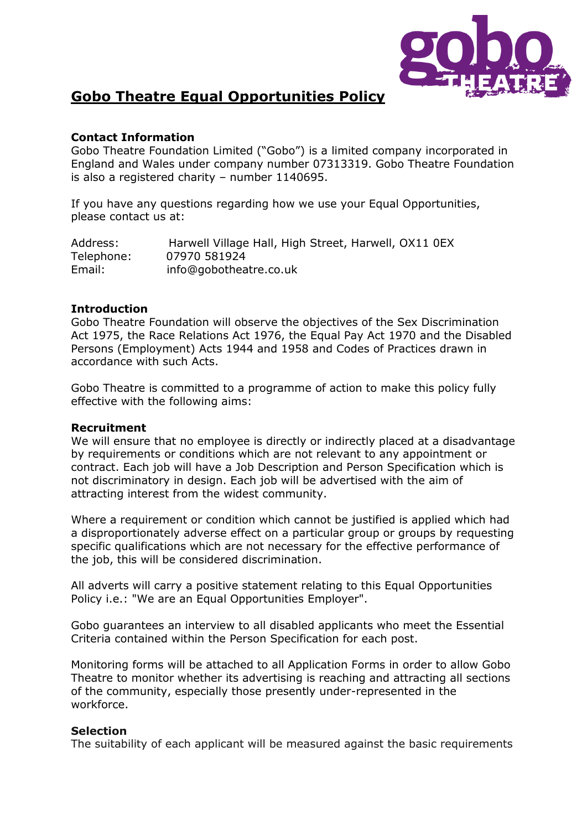

# **Gobo Theatre Equal Opportunities Policy**

## **Contact Information**

Gobo Theatre Foundation Limited ("Gobo") is a limited company incorporated in England and Wales under company number 07313319. Gobo Theatre Foundation is also a registered charity – number 1140695.

If you have any questions regarding how we use your Equal Opportunities, please contact us at:

Address: Harwell Village Hall, High Street, Harwell, OX11 0EX Telephone: 07970 581924 Email: info@gobotheatre.co.uk

### **Introduction**

Gobo Theatre Foundation will observe the objectives of the Sex Discrimination Act 1975, the Race Relations Act 1976, the Equal Pay Act 1970 and the Disabled Persons (Employment) Acts 1944 and 1958 and Codes of Practices drawn in accordance with such Acts.

Gobo Theatre is committed to a programme of action to make this policy fully effective with the following aims:

#### **Recruitment**

We will ensure that no employee is directly or indirectly placed at a disadvantage by requirements or conditions which are not relevant to any appointment or contract. Each job will have a Job Description and Person Specification which is not discriminatory in design. Each job will be advertised with the aim of attracting interest from the widest community.

Where a requirement or condition which cannot be justified is applied which had a disproportionately adverse effect on a particular group or groups by requesting specific qualifications which are not necessary for the effective performance of the job, this will be considered discrimination.

All adverts will carry a positive statement relating to this Equal Opportunities Policy i.e.: "We are an Equal Opportunities Employer".

Gobo guarantees an interview to all disabled applicants who meet the Essential Criteria contained within the Person Specification for each post.

Monitoring forms will be attached to all Application Forms in order to allow Gobo Theatre to monitor whether its advertising is reaching and attracting all sections of the community, especially those presently under-represented in the workforce.

#### **Selection**

The suitability of each applicant will be measured against the basic requirements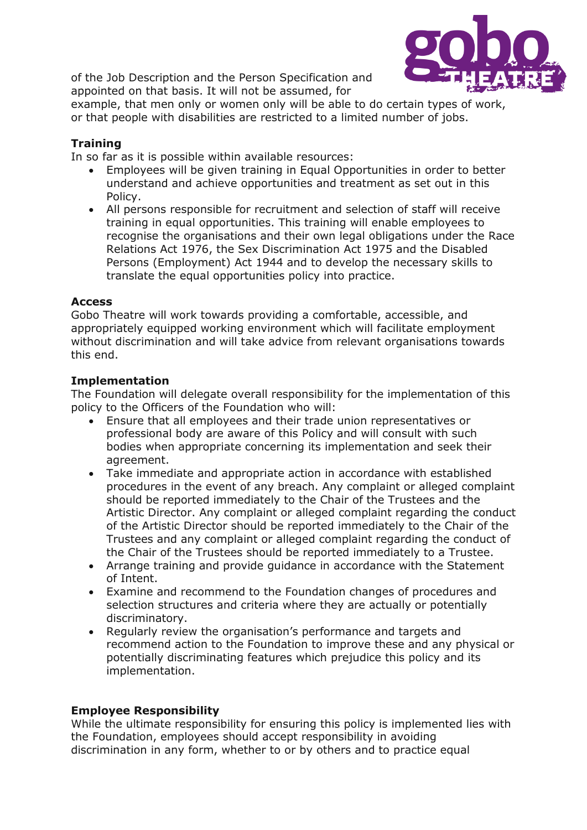of the Job Description and the Person Specification and appointed on that basis. It will not be assumed, for



example, that men only or women only will be able to do certain types of work, or that people with disabilities are restricted to a limited number of jobs.

## **Training**

In so far as it is possible within available resources:

- Employees will be given training in Equal Opportunities in order to better understand and achieve opportunities and treatment as set out in this Policy.
- All persons responsible for recruitment and selection of staff will receive training in equal opportunities. This training will enable employees to recognise the organisations and their own legal obligations under the Race Relations Act 1976, the Sex Discrimination Act 1975 and the Disabled Persons (Employment) Act 1944 and to develop the necessary skills to translate the equal opportunities policy into practice.

## **Access**

Gobo Theatre will work towards providing a comfortable, accessible, and appropriately equipped working environment which will facilitate employment without discrimination and will take advice from relevant organisations towards this end.

## **Implementation**

The Foundation will delegate overall responsibility for the implementation of this policy to the Officers of the Foundation who will:

- Ensure that all employees and their trade union representatives or professional body are aware of this Policy and will consult with such bodies when appropriate concerning its implementation and seek their agreement.
- Take immediate and appropriate action in accordance with established procedures in the event of any breach. Any complaint or alleged complaint should be reported immediately to the Chair of the Trustees and the Artistic Director. Any complaint or alleged complaint regarding the conduct of the Artistic Director should be reported immediately to the Chair of the Trustees and any complaint or alleged complaint regarding the conduct of the Chair of the Trustees should be reported immediately to a Trustee.
- Arrange training and provide guidance in accordance with the Statement of Intent.
- Examine and recommend to the Foundation changes of procedures and selection structures and criteria where they are actually or potentially discriminatory.
- Regularly review the organisation's performance and targets and recommend action to the Foundation to improve these and any physical or potentially discriminating features which prejudice this policy and its implementation.

#### **Employee Responsibility**

While the ultimate responsibility for ensuring this policy is implemented lies with the Foundation, employees should accept responsibility in avoiding discrimination in any form, whether to or by others and to practice equal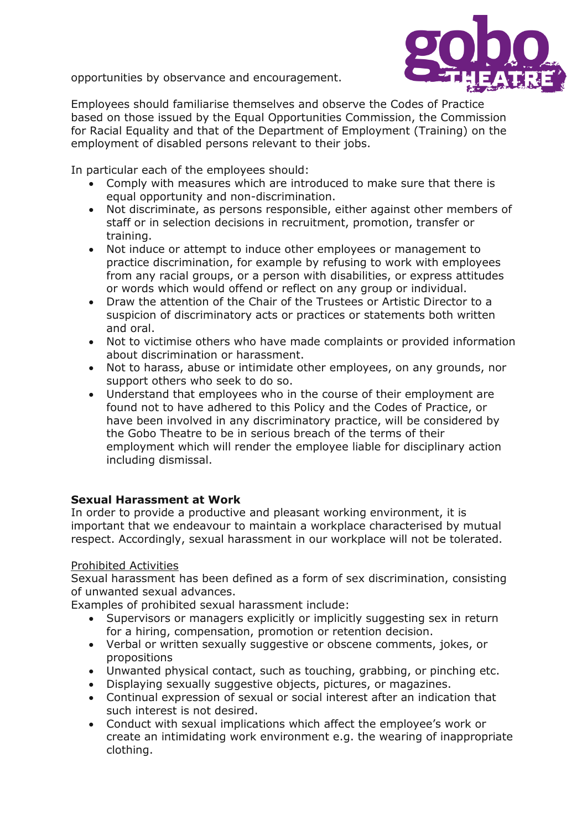opportunities by observance and encouragement.



Employees should familiarise themselves and observe the Codes of Practice based on those issued by the Equal Opportunities Commission, the Commission for Racial Equality and that of the Department of Employment (Training) on the employment of disabled persons relevant to their jobs.

In particular each of the employees should:

- Comply with measures which are introduced to make sure that there is equal opportunity and non-discrimination.
- Not discriminate, as persons responsible, either against other members of staff or in selection decisions in recruitment, promotion, transfer or training.
- Not induce or attempt to induce other employees or management to practice discrimination, for example by refusing to work with employees from any racial groups, or a person with disabilities, or express attitudes or words which would offend or reflect on any group or individual.
- Draw the attention of the Chair of the Trustees or Artistic Director to a suspicion of discriminatory acts or practices or statements both written and oral.
- Not to victimise others who have made complaints or provided information about discrimination or harassment.
- Not to harass, abuse or intimidate other employees, on any grounds, nor support others who seek to do so.
- Understand that employees who in the course of their employment are found not to have adhered to this Policy and the Codes of Practice, or have been involved in any discriminatory practice, will be considered by the Gobo Theatre to be in serious breach of the terms of their employment which will render the employee liable for disciplinary action including dismissal.

# **Sexual Harassment at Work**

In order to provide a productive and pleasant working environment, it is important that we endeavour to maintain a workplace characterised by mutual respect. Accordingly, sexual harassment in our workplace will not be tolerated.

## Prohibited Activities

Sexual harassment has been defined as a form of sex discrimination, consisting of unwanted sexual advances.

Examples of prohibited sexual harassment include:

- Supervisors or managers explicitly or implicitly suggesting sex in return for a hiring, compensation, promotion or retention decision.
- Verbal or written sexually suggestive or obscene comments, jokes, or propositions
- Unwanted physical contact, such as touching, grabbing, or pinching etc.
- Displaying sexually suggestive objects, pictures, or magazines.
- Continual expression of sexual or social interest after an indication that such interest is not desired.
- Conduct with sexual implications which affect the employee's work or create an intimidating work environment e.g. the wearing of inappropriate clothing.